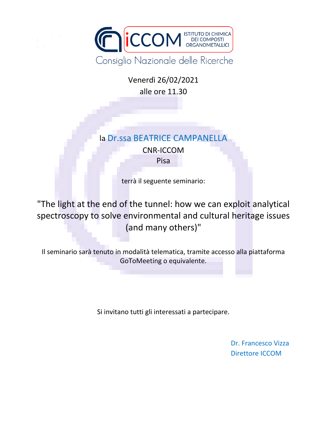

Venerdì 26/02/2021 alle ore 11.30

## la Dr.ssa BEATRICE CAMPANELLA

CNR-ICCOM Pisa

terrà il seguente seminario:

"The light at the end of the tunnel: how we can exploit analytical spectroscopy to solve environmental and cultural heritage issues (and many others)"

Il seminario sarà tenuto in modalità telematica, tramite accesso alla piattaforma GoToMeeting o equivalente.

Si invitano tutti gli interessati a partecipare.

Dr. Francesco Vizza Direttore ICCOM